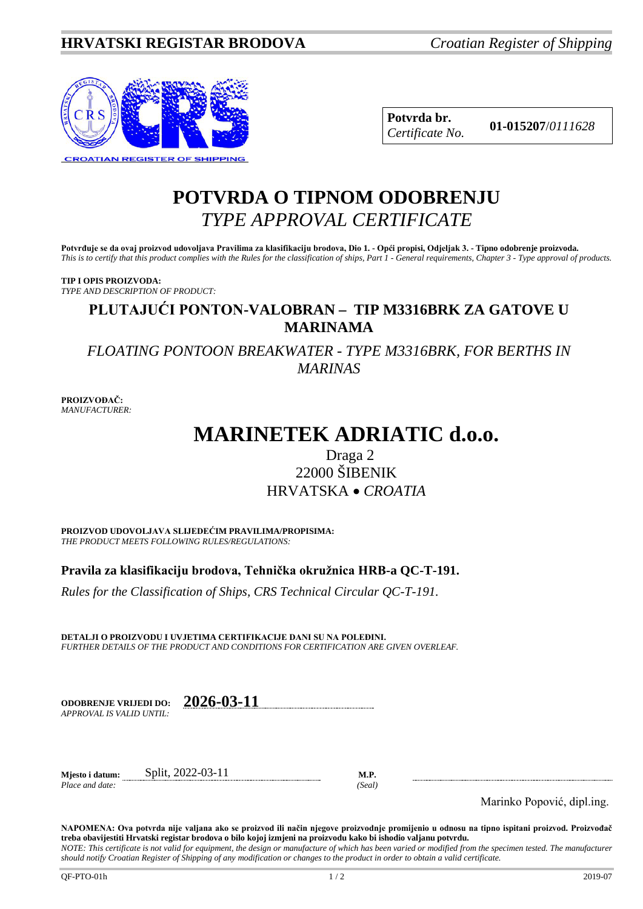

**Potvrda br. 01-015207**/*<sup>0111628</sup> Certificate No.*

## **POTVRDA O TIPNOM ODOBRENJU** *TYPE APPROVAL CERTIFICATE*

**Potvrđuje se da ovaj proizvod udovoljava Pravilima za klasifikaciju brodova, Dio 1. - Opći propisi, Odjeljak 3. - Tipno odobrenje proizvoda.** *This is to certify that this product complies with the Rules for the classification of ships, Part 1 - General requirements, Chapter 3 - Type approval of products.*

**TIP I OPIS PROIZVODA:** *TYPE AND DESCRIPTION OF PRODUCT:*

## **PLUTAJUĆI PONTON-VALOBRAN – TIP M3316BRK ZA GATOVE U MARINAMA**

*FLOATING PONTOON BREAKWATER - TYPE M3316BRK, FOR BERTHS IN MARINAS*

**PROIZVOĐAČ:** *MANUFACTURER:*

# **MARINETEK ADRIATIC d.o.o.**

### Draga 2 22000 ŠIBENIK HRVATSKA • *CROATIA*

**PROIZVOD UDOVOLJAVA SLIJEDEĆIM PRAVILIMA/PROPISIMA:** *THE PRODUCT MEETS FOLLOWING RULES/REGULATIONS:*

**Pravila za klasifikaciju brodova, Tehnička okružnica HRB-a QC-T-191.** 

*Rules for the Classification of Ships, CRS Technical Circular QC-T-191.*

**DETALJI O PROIZVODU I UVJETIMA CERTIFIKACIJE DANI SU NA POLEĐINI.** *FURTHER DETAILS OF THE PRODUCT AND CONDITIONS FOR CERTIFICATION ARE GIVEN OVERLEAF.*

| <b>ODOBRENJE VRLJEDI DO:</b> | 2026-03-11 |
|------------------------------|------------|
| APPROVAL IS VALID UNTIL:     |            |

**Mjesto i datum:** Split, 2022-03-11 **M.P.**

*Place and date: (Seal)*

Marinko Popović, dipl.ing.

**NAPOMENA: Ova potvrda nije valjana ako se proizvod ili način njegove proizvodnje promijenio u odnosu na tipno ispitani proizvod. Proizvođač treba obavijestiti Hrvatski registar brodova o bilo kojoj izmjeni na proizvodu kako bi ishodio valjanu potvrdu.** *NOTE: This certificate is not valid for equipment, the design or manufacture of which has been varied or modified from the specimen tested. The manufacturer* 

*should notify Croatian Register of Shipping of any modification or changes to the product in order to obtain a valid certificate.*